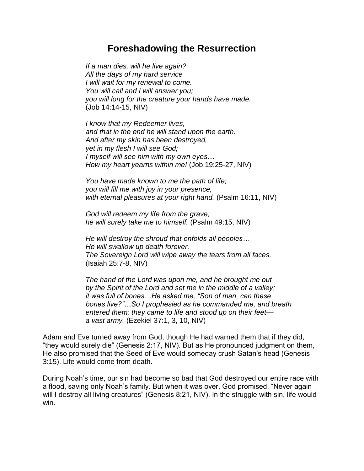## **Foreshadowing the Resurrection**

*If a man dies, will he live again? All the days of my hard service I will wait for my renewal to come. You will call and I will answer you; you will long for the creature your hands have made.* (Job 14:14-15, NIV)

*I know that my Redeemer lives, and that in the end he will stand upon the earth. And after my skin has been destroyed, yet in my flesh I will see God; I myself will see him with my own eyes… How my heart yearns within me!* (Job 19:25-27, NIV)

*You have made known to me the path of life; you will fill me with joy in your presence, with eternal pleasures at your right hand.* (Psalm 16:11, NIV)

*God will redeem my life from the grave; he will surely take me to himself.* (Psalm 49:15, NIV)

*He will destroy the shroud that enfolds all peoples… He will swallow up death forever. The Sovereign Lord will wipe away the tears from all faces.*  (Isaiah 25:7-8, NIV)

*The hand of the Lord was upon me, and he brought me out by the Spirit of the Lord and set me in the middle of a valley; it was full of bones…He asked me, "Son of man, can these bones live?"…So I prophesied as he commanded me, and breath entered them; they came to life and stood up on their feet a vast army.* (Ezekiel 37:1, 3, 10, NIV)

Adam and Eve turned away from God, though He had warned them that if they did, "they would surely die" (Genesis 2:17, NIV). But as He pronounced judgment on them, He also promised that the Seed of Eve would someday crush Satan's head (Genesis 3:15). Life would come from death.

During Noah's time, our sin had become so bad that God destroyed our entire race with a flood, saving only Noah's family. But when it was over, God promised, "Never again will I destroy all living creatures" (Genesis 8:21, NIV). In the struggle with sin, life would win.